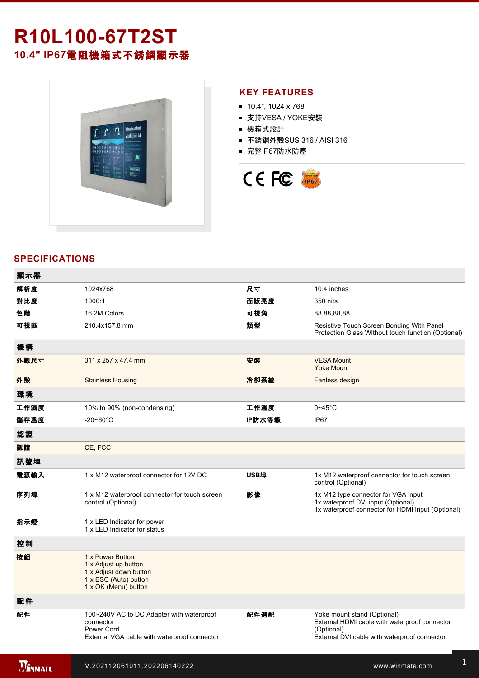# **R10L10067T2ST 10.4" IP67**電阻機箱式不銹鋼顯示器



#### **KEY FEATURES**

- $10.4$ ", 1024 x 768
- 支持VESA / YOKE安裝
- 機箱式設計
- 不銹鋼外殼SUS 316 / AISI 316
- 完整IP67防水防塵



## **SPECIFICATIONS**

| 顯示器            |                                                                                                                      |        |                                                                                                                                            |
|----------------|----------------------------------------------------------------------------------------------------------------------|--------|--------------------------------------------------------------------------------------------------------------------------------------------|
| 解析度            | 1024x768                                                                                                             | 尺寸     | 10.4 inches                                                                                                                                |
| 對比度            | 1000:1                                                                                                               | 面版亮度   | 350 nits                                                                                                                                   |
| 色階             | 16.2M Colors                                                                                                         | 可視角    | 88,88,88,88                                                                                                                                |
| 可視區            | 210.4x157.8 mm                                                                                                       | 類型     | Resistive Touch Screen Bonding With Panel<br>Protection Glass Without touch function (Optional)                                            |
| 機構             |                                                                                                                      |        |                                                                                                                                            |
| 外觀尺寸           | 311 x 257 x 47.4 mm                                                                                                  | 安装     | <b>VESA Mount</b><br><b>Yoke Mount</b>                                                                                                     |
| 外殼             | <b>Stainless Housing</b>                                                                                             | 冷卻系統   | Fanless design                                                                                                                             |
| 環境             |                                                                                                                      |        |                                                                                                                                            |
| 工作濕度           | 10% to 90% (non-condensing)                                                                                          | 工作溫度   | $0 - 45$ °C                                                                                                                                |
| 儲存溫度           | $-20 - 60^{\circ}$ C                                                                                                 | IP防水等級 | IP67                                                                                                                                       |
| 認證             |                                                                                                                      |        |                                                                                                                                            |
| 認證             | CE, FCC                                                                                                              |        |                                                                                                                                            |
| 訊號埠            |                                                                                                                      |        |                                                                                                                                            |
| 電源輸入           | 1 x M12 waterproof connector for 12V DC                                                                              | USB埠   | 1x M12 waterproof connector for touch screen<br>control (Optional)                                                                         |
| 序列埠            | 1 x M12 waterproof connector for touch screen<br>control (Optional)                                                  | 影像     | 1x M12 type connector for VGA input<br>1x waterproof DVI input (Optional)<br>1x waterproof connector for HDMI input (Optional)             |
| 指示燈            | 1 x LED Indicator for power<br>1 x LED Indicator for status                                                          |        |                                                                                                                                            |
| 控制             |                                                                                                                      |        |                                                                                                                                            |
| 按鈕             | 1 x Power Button<br>1 x Adjust up button<br>1 x Adjust down button<br>1 x ESC (Auto) button<br>1 x OK (Menu) button  |        |                                                                                                                                            |
| 配件             |                                                                                                                      |        |                                                                                                                                            |
| 配件             | 100~240V AC to DC Adapter with waterproof<br>connector<br>Power Cord<br>External VGA cable with waterproof connector | 配件選配   | Yoke mount stand (Optional)<br>External HDMI cable with waterproof connector<br>(Optional)<br>External DVI cable with waterproof connector |
| <b>WINMATE</b> | V.202112061011.202206140222                                                                                          |        | www.winmate.com                                                                                                                            |

for touchscreen control (Optional)